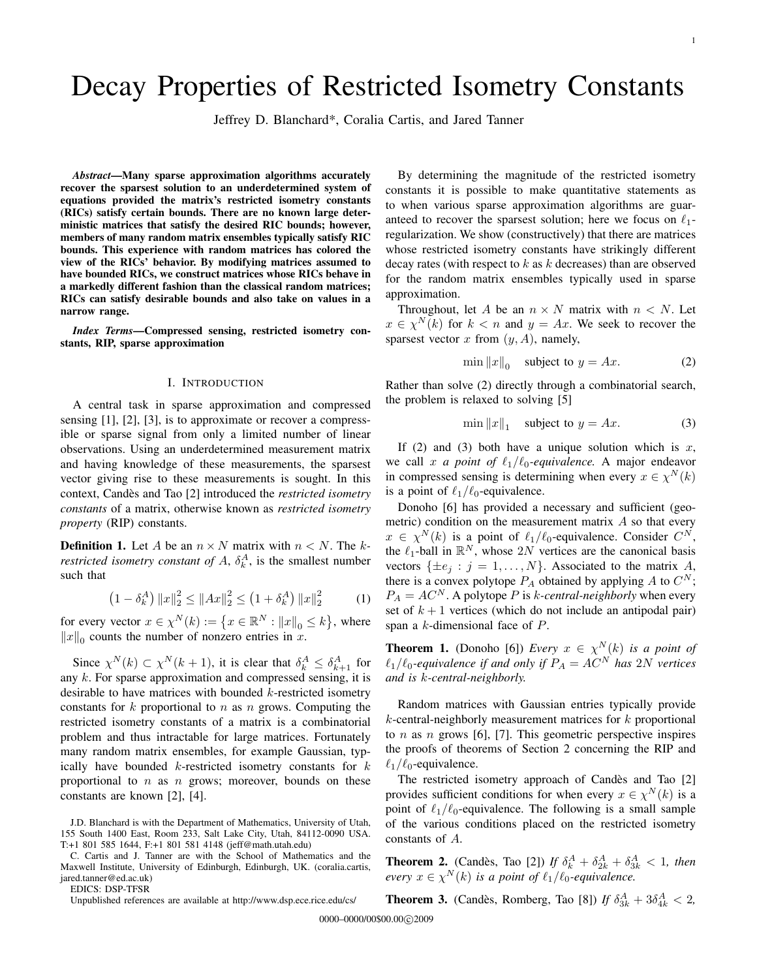# Decay Properties of Restricted Isometry Constants

Jeffrey D. Blanchard\*, Coralia Cartis, and Jared Tanner

*Abstract*—Many sparse approximation algorithms accurately recover the sparsest solution to an underdetermined system of equations provided the matrix's restricted isometry constants (RICs) satisfy certain bounds. There are no known large deterministic matrices that satisfy the desired RIC bounds; however, members of many random matrix ensembles typically satisfy RIC bounds. This experience with random matrices has colored the view of the RICs' behavior. By modifying matrices assumed to have bounded RICs, we construct matrices whose RICs behave in a markedly different fashion than the classical random matrices; RICs can satisfy desirable bounds and also take on values in a narrow range.

*Index Terms*—Compressed sensing, restricted isometry constants, RIP, sparse approximation

## I. INTRODUCTION

A central task in sparse approximation and compressed sensing [1], [2], [3], is to approximate or recover a compressible or sparse signal from only a limited number of linear observations. Using an underdetermined measurement matrix and having knowledge of these measurements, the sparsest vector giving rise to these measurements is sought. In this context, Candès and Tao [2] introduced the *restricted isometry constants* of a matrix, otherwise known as *restricted isometry property* (RIP) constants.

**Definition 1.** Let A be an  $n \times N$  matrix with  $n \leq N$ . The k*restricted isometry constant of A,*  $\delta_k^A$ , is the smallest number such that

$$
(1 - \delta_k^A) \|x\|_2^2 \le \|Ax\|_2^2 \le (1 + \delta_k^A) \|x\|_2^2 \tag{1}
$$

for every vector  $x \in \chi^N(k) := \left\{ x \in \mathbb{R}^N : ||x||_0 \le k \right\}$ , where  $||x||_0$  counts the number of nonzero entries in x.

Since  $\chi^N(k) \subset \chi^N(k+1)$ , it is clear that  $\delta_k^A \leq \delta_{k+1}^A$  for any k. For sparse approximation and compressed sensing, it is desirable to have matrices with bounded  $k$ -restricted isometry constants for  $k$  proportional to  $n$  as  $n$  grows. Computing the restricted isometry constants of a matrix is a combinatorial problem and thus intractable for large matrices. Fortunately many random matrix ensembles, for example Gaussian, typically have bounded  $k$ -restricted isometry constants for  $k$ proportional to  $n$  as  $n$  grows; moreover, bounds on these constants are known [2], [4].

EDICS: DSP-TFSR

Unpublished references are available at http://www.dsp.ece.rice.edu/cs/

By determining the magnitude of the restricted isometry constants it is possible to make quantitative statements as to when various sparse approximation algorithms are guaranteed to recover the sparsest solution; here we focus on  $\ell_1$ regularization. We show (constructively) that there are matrices whose restricted isometry constants have strikingly different decay rates (with respect to  $k$  as  $k$  decreases) than are observed for the random matrix ensembles typically used in sparse approximation.

Throughout, let A be an  $n \times N$  matrix with  $n \times N$ . Let  $x \in \chi^N(k)$  for  $k < n$  and  $y = Ax$ . We seek to recover the sparsest vector  $x$  from  $(y, A)$ , namely,

$$
\min \|x\|_0 \quad \text{subject to } y = Ax. \tag{2}
$$

Rather than solve (2) directly through a combinatorial search, the problem is relaxed to solving [5]

$$
\min \|x\|_1 \quad \text{subject to } y = Ax. \tag{3}
$$

If (2) and (3) both have a unique solution which is  $x$ , we call x *a point of*  $\ell_1/\ell_0$ -equivalence. A major endeavor in compressed sensing is determining when every  $x \in \chi^N(k)$ is a point of  $\ell_1/\ell_0$ -equivalence.

Donoho [6] has provided a necessary and sufficient (geometric) condition on the measurement matrix  $A$  so that every  $x \in \chi^N(k)$  is a point of  $\ell_1/\ell_0$ -equivalence. Consider  $C^N$ , the  $\ell_1$ -ball in  $\mathbb{R}^N$ , whose  $2N$  vertices are the canonical basis vectors  $\{\pm e_j : j = 1, \ldots, N\}$ . Associated to the matrix A, there is a convex polytope  $P_A$  obtained by applying A to  $C^N$ ;  $P_A = AC^N$ . A polytope P is k-central-neighborly when every set of  $k + 1$  vertices (which do not include an antipodal pair) span a k-dimensional face of P.

**Theorem 1.** (Donoho [6]) *Every*  $x \in \chi^N(k)$  *is a point of*  $\ell_1/\ell_0$ -equivalence if and only if  $P_A = AC^N$  has  $2N$  vertices *and is* k*-central-neighborly.*

Random matrices with Gaussian entries typically provide  $k$ -central-neighborly measurement matrices for  $k$  proportional to *n* as *n* grows [6], [7]. This geometric perspective inspires the proofs of theorems of Section 2 concerning the RIP and  $\ell_1/\ell_0$ -equivalence.

The restricted isometry approach of Candès and Tao [2] provides sufficient conditions for when every  $x \in \chi^N(k)$  is a point of  $\ell_1/\ell_0$ -equivalence. The following is a small sample of the various conditions placed on the restricted isometry constants of A.

**Theorem 2.** (Candès, Tao [2]) If  $\delta_k^A + \delta_{2k}^A + \delta_{3k}^A < 1$ , then *every*  $x \in \chi^N(k)$  *is a point of*  $\ell_1/\ell_0$ *-equivalence.* 

**Theorem 3.** (Candès, Romberg, Tao [8]) If  $\delta_{3k}^A + 3\delta_{4k}^A < 2$ ,

J.D. Blanchard is with the Department of Mathematics, University of Utah, 155 South 1400 East, Room 233, Salt Lake City, Utah, 84112-0090 USA. T:+1 801 585 1644, F:+1 801 581 4148 (jeff@math.utah.edu)

C. Cartis and J. Tanner are with the School of Mathematics and the Maxwell Institute, University of Edinburgh, Edinburgh, UK. (coralia.cartis, jared.tanner@ed.ac.uk)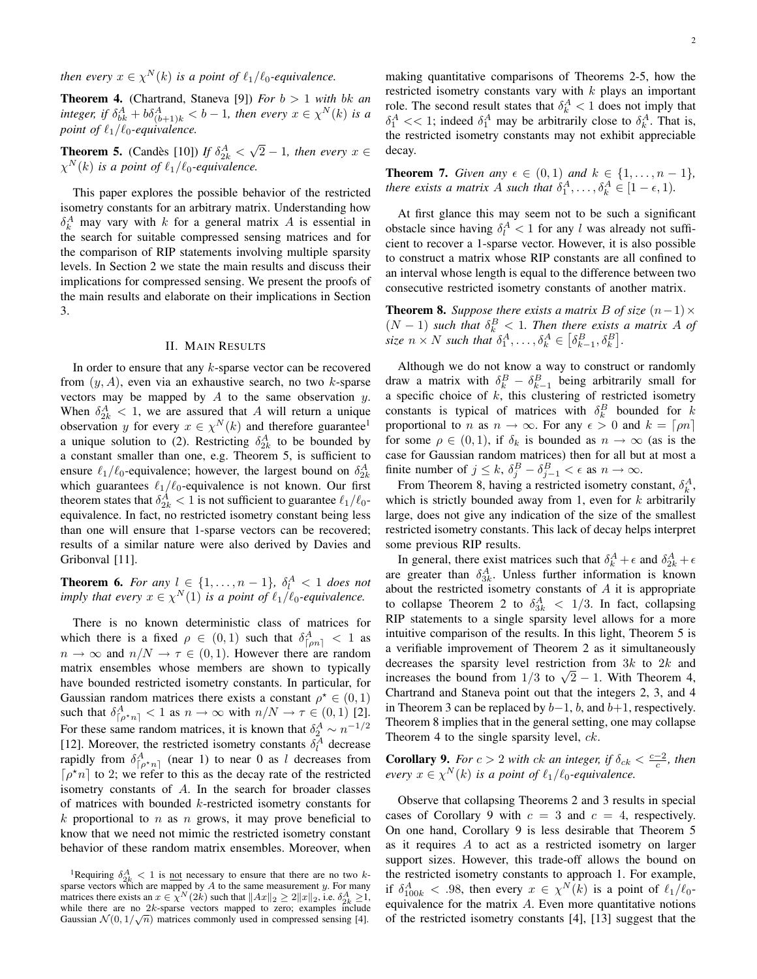*then every*  $x \in \chi^N(k)$  *is a point of*  $\ell_1/\ell_0$ -equivalence.

**Theorem 4.** (Chartrand, Staneva [9]) *For*  $b > 1$  *with bk an* integer, if  $\delta_{bk}^A + b\delta_{(b+1)k}^A < b-1$ , then every  $x \in \chi^N(k)$  is a *point of*  $\ell_1/\ell_0$ -equivalence.

**Theorem 5.** (Candès [10]) If  $\delta_{2k}^A$  < √  $\overline{2} - 1$ *, then every*  $x \in$  $\chi^N(k)$  is a point of  $\ell_1/\ell_0$ -equivalence.

This paper explores the possible behavior of the restricted isometry constants for an arbitrary matrix. Understanding how  $\delta_k^A$  may vary with k for a general matrix A is essential in the search for suitable compressed sensing matrices and for the comparison of RIP statements involving multiple sparsity levels. In Section 2 we state the main results and discuss their implications for compressed sensing. We present the proofs of the main results and elaborate on their implications in Section 3.

## II. MAIN RESULTS

In order to ensure that any  $k$ -sparse vector can be recovered from  $(y, A)$ , even via an exhaustive search, no two k-sparse vectors may be mapped by  $A$  to the same observation  $y$ . When  $\delta_{2k}^A < 1$ , we are assured that A will return a unique observation y for every  $x \in \chi^N(k)$  and therefore guarantee<sup>1</sup> a unique solution to (2). Restricting  $\delta_{2k}^A$  to be bounded by a constant smaller than one, e.g. Theorem 5, is sufficient to ensure  $\ell_1/\ell_0$ -equivalence; however, the largest bound on  $\delta^A_{2k}$ which guarantees  $\ell_1/\ell_0$ -equivalence is not known. Our first theorem states that  $\delta^A_{2k} < 1$  is not sufficient to guarantee  $\ell_1/\ell_0$ equivalence. In fact, no restricted isometry constant being less than one will ensure that 1-sparse vectors can be recovered; results of a similar nature were also derived by Davies and Gribonval [11].

**Theorem 6.** For any  $l \in \{1, \ldots, n-1\}$ ,  $\delta_l^A < 1$  does not *imply that every*  $x \in \chi^N(1)$  *is a point of*  $\ell_1/\ell_0$ -equivalence.

There is no known deterministic class of matrices for which there is a fixed  $\rho \in (0,1)$  such that  $\delta_{\lceil \rho n \rceil}^A < 1$  as  $n \to \infty$  and  $n/N \to \tau \in (0,1)$ . However there are random matrix ensembles whose members are shown to typically have bounded restricted isometry constants. In particular, for Gaussian random matrices there exists a constant  $\rho^* \in (0,1)$ such that  $\delta_{\lceil \rho^* n \rceil}^A < 1$  as  $n \to \infty$  with  $n/N \to \tau \in (0,1)$  [2]. For these same random matrices, it is known that  $\delta_2^A \sim n^{-1/2}$ [12]. Moreover, the restricted isometry constants  $\delta_l^A$  decrease rapidly from  $\delta_{\lceil \rho^* n \rceil}^A$  (near 1) to near 0 as l decreases from  $\lceil \rho^* n \rceil$  to 2; we refer to this as the decay rate of the restricted isometry constants of A. In the search for broader classes of matrices with bounded k-restricted isometry constants for k proportional to n as n grows, it may prove beneficial to know that we need not mimic the restricted isometry constant behavior of these random matrix ensembles. Moreover, when making quantitative comparisons of Theorems 2-5, how the restricted isometry constants vary with  $k$  plays an important role. The second result states that  $\delta_k^A < 1$  does not imply that  $\delta_1^A \ll 1$ ; indeed  $\delta_1^A$  may be arbitrarily close to  $\delta_k^A$ . That is, the restricted isometry constants may not exhibit appreciable decay.

**Theorem 7.** *Given any*  $\epsilon \in (0,1)$  *and*  $k \in \{1, ..., n-1\}$ *, there exists a matrix A such that*  $\delta_1^A, \ldots, \delta_k^A \in [1 - \epsilon, 1)$ *.* 

At first glance this may seem not to be such a significant obstacle since having  $\delta_l^A < 1$  for any l was already not sufficient to recover a 1-sparse vector. However, it is also possible to construct a matrix whose RIP constants are all confined to an interval whose length is equal to the difference between two consecutive restricted isometry constants of another matrix.

**Theorem 8.** *Suppose there exists a matrix B of size*  $(n-1) \times$  $(N-1)$  *such that*  $\delta_k^B < 1$ *. Then there exists a matrix A of* size  $n \times N$  such that  $\delta_1^A, \ldots, \delta_k^A \in [\delta_{k-1}^B, \delta_k^B]$ .

Although we do not know a way to construct or randomly draw a matrix with  $\delta_k^B - \delta_{k-1}^B$  being arbitrarily small for a specific choice of  $k$ , this clustering of restricted isometry constants is typical of matrices with  $\delta_k^B$  bounded for k proportional to *n* as  $n \to \infty$ . For any  $\epsilon > 0$  and  $k = \lceil \rho n \rceil$ for some  $\rho \in (0,1)$ , if  $\delta_k$  is bounded as  $n \to \infty$  (as is the case for Gaussian random matrices) then for all but at most a finite number of  $j \leq k$ ,  $\delta_j^B - \delta_{j-1}^B < \epsilon$  as  $n \to \infty$ .

From Theorem 8, having a restricted isometry constant,  $\delta_k^A$ , which is strictly bounded away from 1, even for  $k$  arbitrarily large, does not give any indication of the size of the smallest restricted isometry constants. This lack of decay helps interpret some previous RIP results.

In general, there exist matrices such that  $\delta_k^A + \epsilon$  and  $\delta_{2k}^A + \epsilon$ are greater than  $\delta_{3k}^A$ . Unless further information is known about the restricted isometry constants of  $A$  it is appropriate to collapse Theorem 2 to  $\delta_{3k}^A < 1/3$ . In fact, collapsing RIP statements to a single sparsity level allows for a more intuitive comparison of the results. In this light, Theorem 5 is a verifiable improvement of Theorem 2 as it simultaneously decreases the sparsity level restriction from  $3k$  to  $2k$  and decreases the sparsity level restriction from  $3k$  to  $2k$  and increases the bound from  $1/3$  to  $\sqrt{2} - 1$ . With Theorem 4, Chartrand and Staneva point out that the integers 2, 3, and 4 in Theorem 3 can be replaced by  $b-1$ ,  $b$ , and  $b+1$ , respectively. Theorem 8 implies that in the general setting, one may collapse Theorem 4 to the single sparsity level, *ck*.

**Corollary 9.** *For*  $c > 2$  *with ck an integer, if*  $\delta_{ck} < \frac{c-2}{c}$ *, then every*  $x \in \chi^N(k)$  *is a point of*  $\ell_1/\ell_0$ *-equivalence.* 

Observe that collapsing Theorems 2 and 3 results in special cases of Corollary 9 with  $c = 3$  and  $c = 4$ , respectively. On one hand, Corollary 9 is less desirable that Theorem 5 as it requires A to act as a restricted isometry on larger support sizes. However, this trade-off allows the bound on the restricted isometry constants to approach 1. For example, if  $\delta_{100k}^A < .98$ , then every  $x \in \chi^N(k)$  is a point of  $\ell_1/\ell_0$ equivalence for the matrix A. Even more quantitative notions of the restricted isometry constants [4], [13] suggest that the

<sup>&</sup>lt;sup>1</sup>Requiring  $\delta_{2k}^A < 1$  is <u>not</u> necessary to ensure that there are no two ksparse vectors which are mapped by A to the same measurement y. For many matrices there exists an  $x \in \chi^N(2k)$  such that  $||Ax||_2 \ge 2||x||_2$ , i.e.  $\delta_{2k}^A \ge 1$ , while there are no  $2k$ -sparse vectors mapped to zero; examples include Gaussian  $\mathcal{N}(0, 1/\sqrt{n})$  matrices commonly used in compressed sensing [4].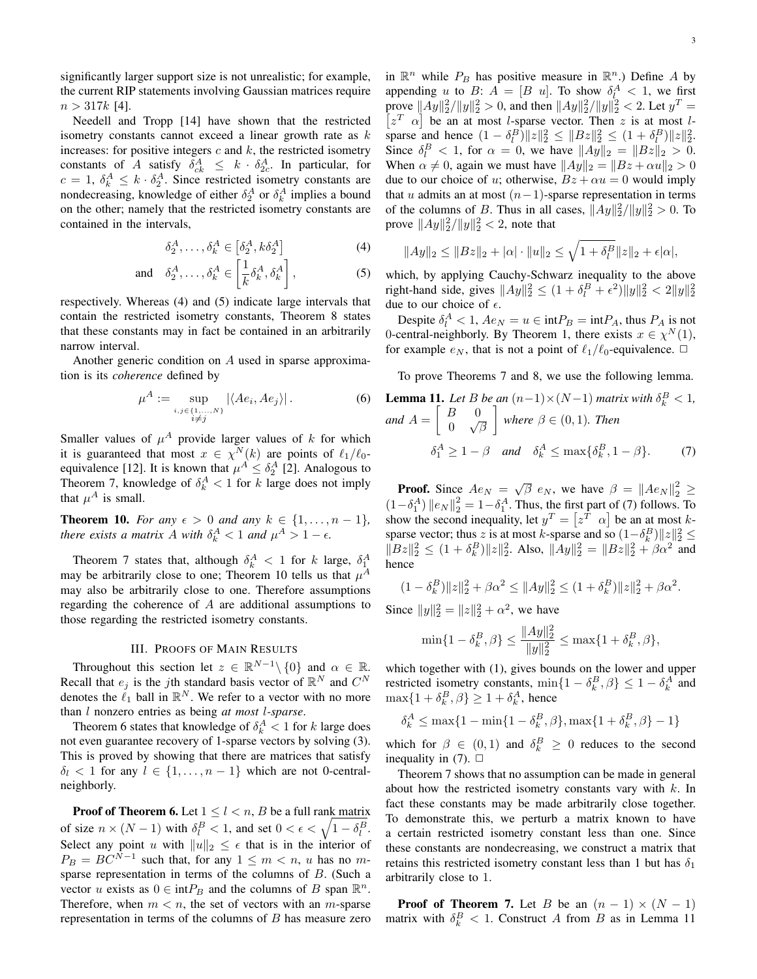Needell and Tropp [14] have shown that the restricted isometry constants cannot exceed a linear growth rate as  $k$ increases: for positive integers  $c$  and  $k$ , the restricted isometry constants of A satisfy  $\delta_{ck}^A \leq k \cdot \delta_{2c}^A$ . In particular, for  $c = 1, \delta_k^A \leq k \cdot \delta_2^A$ . Since restricted isometry constants are nondecreasing, knowledge of either  $\delta_2^A$  or  $\delta_k^A$  implies a bound on the other; namely that the restricted isometry constants are contained in the intervals,

$$
\delta_2^A, \dots, \delta_k^A \in \left[\delta_2^A, k\delta_2^A\right] \tag{4}
$$

and 
$$
\delta_2^A, \dots, \delta_k^A \in \left[\frac{1}{k}\delta_k^A, \delta_k^A\right],
$$
 (5)

respectively. Whereas (4) and (5) indicate large intervals that contain the restricted isometry constants, Theorem 8 states that these constants may in fact be contained in an arbitrarily narrow interval.

Another generic condition on A used in sparse approximation is its *coherence* defined by

$$
\mu^{A} := \sup_{\substack{i,j \in \{1,\ldots,N\} \\ i \neq j}} |\langle Ae_i, Ae_j \rangle|.
$$
 (6)

Smaller values of  $\mu^A$  provide larger values of k for which it is guaranteed that most  $x \in \chi^N(k)$  are points of  $\ell_1/\ell_0$ equivalence [12]. It is known that  $\mu^A \leq \delta_2^A$  [2]. Analogous to Theorem 7, knowledge of  $\delta_k^A < 1$  for k large does not imply that  $\mu^A$  is small.

**Theorem 10.** *For any*  $\epsilon > 0$  *and any*  $k \in \{1, ..., n-1\}$ *, there exists a matrix A with*  $\delta_k^A < 1$  *and*  $\mu^A > 1 - \epsilon$ .

Theorem 7 states that, although  $\delta_k^A < 1$  for k large,  $\delta_1^A$ may be arbitrarily close to one; Theorem 10 tells us that  $\mu^A$ may also be arbitrarily close to one. Therefore assumptions regarding the coherence of A are additional assumptions to those regarding the restricted isometry constants.

# III. PROOFS OF MAIN RESULTS

Throughout this section let  $z \in \mathbb{R}^{N-1} \setminus \{0\}$  and  $\alpha \in \mathbb{R}$ . Recall that  $e_j$  is the jth standard basis vector of  $\mathbb{R}^N$  and  $C^N$ denotes the  $\ell_1$  ball in  $\mathbb{R}^N$ . We refer to a vector with no more than l nonzero entries as being *at most* l*-sparse*.

Theorem 6 states that knowledge of  $\delta_k^A < 1$  for k large does not even guarantee recovery of 1-sparse vectors by solving (3). This is proved by showing that there are matrices that satisfy  $\delta_l$  < 1 for any  $l \in \{1, \ldots, n-1\}$  which are not 0-centralneighborly.

**Proof of Theorem 6.** Let  $1 \leq l \leq n$ , B be a full rank matrix of size  $n \times (N-1)$  with  $\delta_l^B < 1$ , and set  $0 < \epsilon < \sqrt{1 - \delta_l^B}$ . Select any point u with  $||u||_2 \leq \epsilon$  that is in the interior of  $P_B = BC^{N-1}$  such that, for any  $1 \leq m < n$ , u has no msparse representation in terms of the columns of  $B$ . (Such a vector u exists as  $0 \in \text{int}P_B$  and the columns of B span  $\mathbb{R}^n$ . Therefore, when  $m < n$ , the set of vectors with an *m*-sparse representation in terms of the columns of  $B$  has measure zero

in  $\mathbb{R}^n$  while  $P_B$  has positive measure in  $\mathbb{R}^n$ .) Define A by appending u to B:  $A = [B \ u]$ . To show  $\delta_1^A < 1$ , we first prove  $||Ay||_2^2/||y||_2^2 > 0$ , and then  $||Ay||_2^2/||y||_2^2 < 2$ . Let  $y^T =$  $[z<sup>T</sup> \alpha]$  be an at most *l*-sparse vector. Then z is at most *l*sparse and hence  $(1 - \delta_l^B) \|z\|_2^2 \le \|Bz\|_2^2 \le (1 + \delta_l^B) \|z\|_2^2$ . Since  $\delta_l^B < 1$ , for  $\alpha = 0$ , we have  $||Ay||_2 = ||Bz||_2 > 0$ . When  $\alpha \neq 0$ , again we must have  $||Ay||_2 = ||Bz + \alpha u||_2 > 0$ due to our choice of u; otherwise,  $Bz + \alpha u = 0$  would imply that u admits an at most  $(n-1)$ -sparse representation in terms of the columns of B. Thus in all cases,  $||Ay||_2^2/||y||_2^2 > 0$ . To prove  $||Ay||_2^2/||y||_2^2 < 2$ , note that

$$
||Ay||_2 \le ||Bz||_2 + |\alpha| \cdot ||u||_2 \le \sqrt{1 + \delta_l^B} ||z||_2 + \epsilon |\alpha|,
$$

which, by applying Cauchy-Schwarz inequality to the above right-hand side, gives  $||Ay||_2^2 \le (1 + \delta_l^B + \epsilon^2) ||y||_2^2 < 2||y||_2^2$ due to our choice of  $\epsilon$ .

Despite  $\delta_l^A < 1$ ,  $Ae_N = u \in \text{int}P_B = \text{int}P_A$ , thus  $P_A$  is not 0-central-neighborly. By Theorem 1, there exists  $x \in \chi^N(1)$ , for example  $e_N$ , that is not a point of  $\ell_1/\ell_0$ -equivalence.  $\Box$ 

To prove Theorems 7 and 8, we use the following lemma.

**Lemma 11.** Let B be an 
$$
(n-1) \times (N-1)
$$
 matrix with  $\delta_k^B < 1$ ,  
and  $A = \begin{bmatrix} B & 0 \\ 0 & \sqrt{\beta} \end{bmatrix}$  where  $\beta \in (0, 1)$ . Then  
 $\delta_1^A \ge 1 - \beta$  and  $\delta_k^A \le \max{\{\delta_k^B, 1 - \beta\}}$ . (7)

**Proof.** Since  $Ae_N = \sqrt{\beta} e_N$ , we have  $\beta = ||Ae_N||_2^2 \ge$  $(1-\delta_1^A)$   $\|e_N\|_2^2 = 1-\delta_1^A$ . Thus, the first part of (7) follows. To show the second inequality, let  $y^T = \begin{bmatrix} z^T & \alpha \end{bmatrix}$  be an at most ksparse vector; thus z is at most k-sparse and so  $(1 - \delta_k^B) ||z||_2^2 \le$  $||Bz||_2^2 \le (1 + \delta_k^B) ||z||_2^2$ . Also,  $||Ay||_2^2 = ||Bz||_2^2 + \beta \alpha^2$  and hence

$$
(1 - \delta_k^B) \|z\|_2^2 + \beta \alpha^2 \le \|Ay\|_2^2 \le (1 + \delta_k^B) \|z\|_2^2 + \beta \alpha^2.
$$

Since  $||y||_2^2 = ||z||_2^2 + \alpha^2$ , we have

$$
\min\{1 - \delta_k^B, \beta\} \le \frac{\|Ay\|_2^2}{\|y\|_2^2} \le \max\{1 + \delta_k^B, \beta\},\
$$

which together with (1), gives bounds on the lower and upper restricted isometry constants,  $\min\{1 - \delta_k^B, \beta\} \leq 1 - \delta_k^A$  and  $\max\{1+\delta_k^B, \beta\} \geq 1+\delta_k^A$ , hence

$$
\delta_k^A \le \max\{1 - \min\{1 - \delta_k^B, \beta\}, \max\{1 + \delta_k^B, \beta\} - 1\}
$$

which for  $\beta \in (0,1)$  and  $\delta_k^B \geq 0$  reduces to the second inequality in  $(7)$ .  $\Box$ 

Theorem 7 shows that no assumption can be made in general about how the restricted isometry constants vary with  $k$ . In fact these constants may be made arbitrarily close together. To demonstrate this, we perturb a matrix known to have a certain restricted isometry constant less than one. Since these constants are nondecreasing, we construct a matrix that retains this restricted isometry constant less than 1 but has  $\delta_1$ arbitrarily close to 1.

**Proof of Theorem 7.** Let B be an  $(n - 1) \times (N - 1)$ matrix with  $\delta_k^B < 1$ . Construct A from B as in Lemma 11